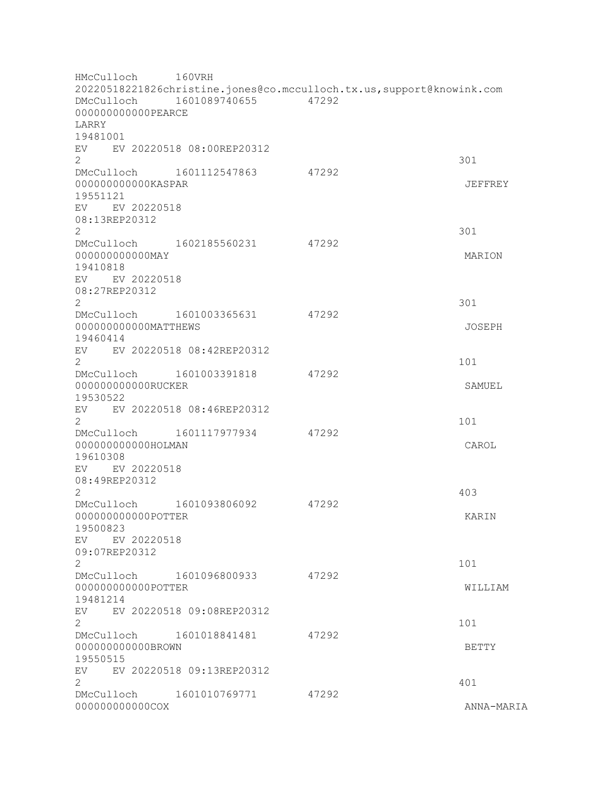HMcCulloch 160VRH 20220518221826christine.jones@co.mcculloch.tx.us,support@knowink.com DMcCulloch 1601089740655 47292 000000000000PEARCE **LARRY** 19481001 EV EV 20220518 08:00REP20312  $2\overline{301}$ DMcCulloch 1601112547863 47292 000000000000KASPAR JEFFREY 19551121 EV EV 20220518 08:13REP20312 2 301 DMcCulloch 1602185560231 47292 000000000000MAY MARION 19410818 EV EV 20220518 08:27REP20312  $2\overline{301}$ DMcCulloch 1601003365631 47292 000000000000MATTHEWS JOSEPH 19460414 EV EV 20220518 08:42REP20312  $2 \t 101$ DMcCulloch 1601003391818 47292 00000000000000RUCKER SAMUEL 19530522 EV EV 20220518 08:46REP20312  $2 \t 101$ DMcCulloch 1601117977934 47292 000000000000HOLMAN CAROL 19610308 EV EV 20220518 08:49REP20312  $2 \times 403$ DMcCulloch 1601093806092 47292 000000000000POTTER KARIN 19500823 EV EV 20220518 09:07REP20312  $2 \t 101$ DMcCulloch 1601096800933 47292 000000000000POTTER WILLIAM 19481214 EV EV 20220518 09:08REP20312 2 101 DMcCulloch 1601018841481 47292 000000000000BROWN BETTY 19550515 EV EV 20220518 09:13REP20312  $2<sup>2</sup>$ DMcCulloch 1601010769771 47292 000000000000COX ANNA-MARIA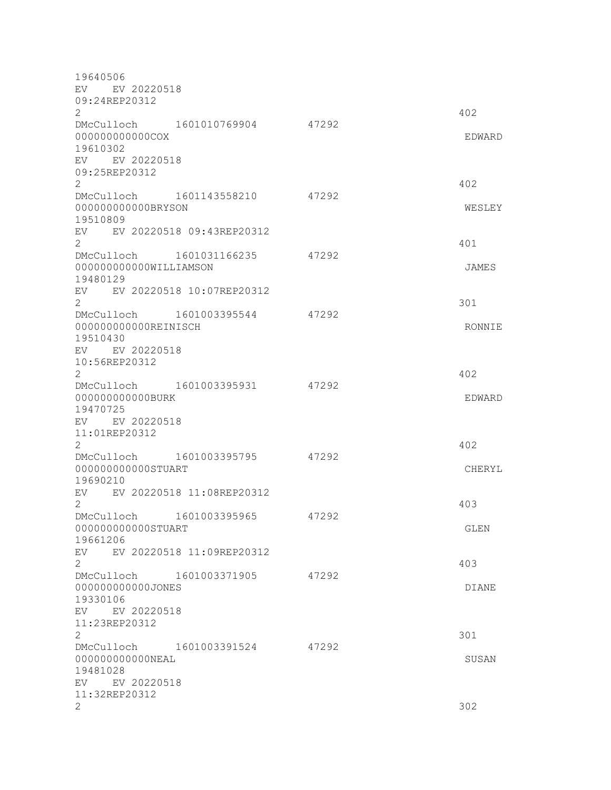19640506 EV EV 20220518 09:24REP20312  $2 \times 402$ DMcCulloch 1601010769904 47292 000000000000COX EDWARD 19610302 EV EV 20220518 09:25REP20312 2 402 DMcCulloch 1601143558210 47292 000000000000BRYSON WESLEY 19510809 EV EV 20220518 09:43REP20312  $2 \times 401$ DMcCulloch 1601031166235 47292 000000000000WILLIAMSON JAMES 19480129 EV EV 20220518 10:07REP20312  $2\overline{301}$ DMcCulloch 1601003395544 47292 000000000000REINISCH RONNIE 19510430 EV EV 20220518 10:56REP20312  $2 \times 402$ DMcCulloch 1601003395931 47292 000000000000BURK EDWARD 19470725 EV EV 20220518 11:01REP20312 2 402 DMcCulloch 1601003395795 47292 000000000000STUART CHERYL 19690210 EV EV 20220518 11:08REP20312  $2 \times 403$ DMcCulloch 1601003395965 47292 000000000000STUART GLEN 19661206 EV EV 20220518 11:09REP20312  $2 \times 403$ DMcCulloch 1601003371905 47292 000000000000JONES DIANE 19330106 EV EV 20220518 11:23REP20312  $2 \times 301$ DMcCulloch 1601003391524 47292 000000000000NEAL SUSAN 19481028 EV EV 20220518 11:32REP20312  $2 \times 302$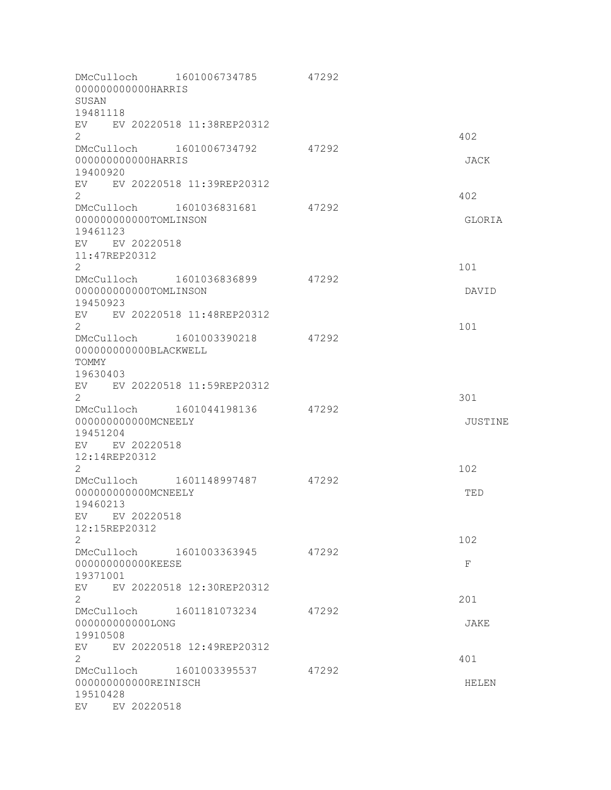| 000000000000HARRIS<br>SUSAN                              | DMcCulloch 1601006734785                                 | 47292 |         |
|----------------------------------------------------------|----------------------------------------------------------|-------|---------|
| 19481118<br>$\overline{2}$                               | EV EV 20220518 11:38REP20312                             |       | 402     |
| 000000000000HARRIS<br>19400920                           | DMcCulloch 1601006734792 47292                           |       | JACK    |
| $\overline{2}$                                           | EV EV 20220518 11:39REP20312                             |       | 402     |
| 000000000000TOMLINSON<br>19461123<br>EV EV 20220518      | DMcCulloch 1601036831681                                 | 47292 | GLORIA  |
| 11:47REP20312<br>$\overline{2}$                          |                                                          |       | 101     |
| 000000000000TOMLINSON<br>19450923                        | DMcCulloch 1601036836899                                 | 47292 | DAVID   |
| $\overline{2}$                                           | EV EV 20220518 11:48REP20312<br>DMcCulloch 1601003390218 | 47292 | 101     |
| 000000000000BLACKWELL<br>TOMMY<br>19630403               |                                                          |       |         |
| $\overline{2}$                                           | EV EV 20220518 11:59REP20312                             |       | 301     |
| 000000000000MCNEELY<br>19451204                          | DMcCulloch 1601044198136                                 | 47292 | JUSTINE |
| EV EV 20220518<br>12:14REP20312<br>$\mathbf{2}^{\prime}$ |                                                          |       | 102     |
| 000000000000MCNEELY<br>19460213                          | DMcCulloch 1601148997487                                 | 47292 | TED     |
| EV EV 20220518<br>12:15REP20312<br>2                     |                                                          |       | 102     |
| 000000000000KEESE<br>19371001                            | DMcCulloch 1601003363945 47292                           |       | F       |
| EV<br>2                                                  | EV 20220518 12:30REP20312                                |       | 201     |
| 000000000000LONG<br>19910508                             | DMcCulloch 1601181073234                                 | 47292 | JAKE    |
| EV<br>$\mathbf{2}^{\prime}$                              | EV 20220518 12:49REP20312                                |       | 401     |
| 000000000000REINISCH<br>19510428                         | DMcCulloch 1601003395537                                 | 47292 | HELEN   |
| EV 20220518<br>EV                                        |                                                          |       |         |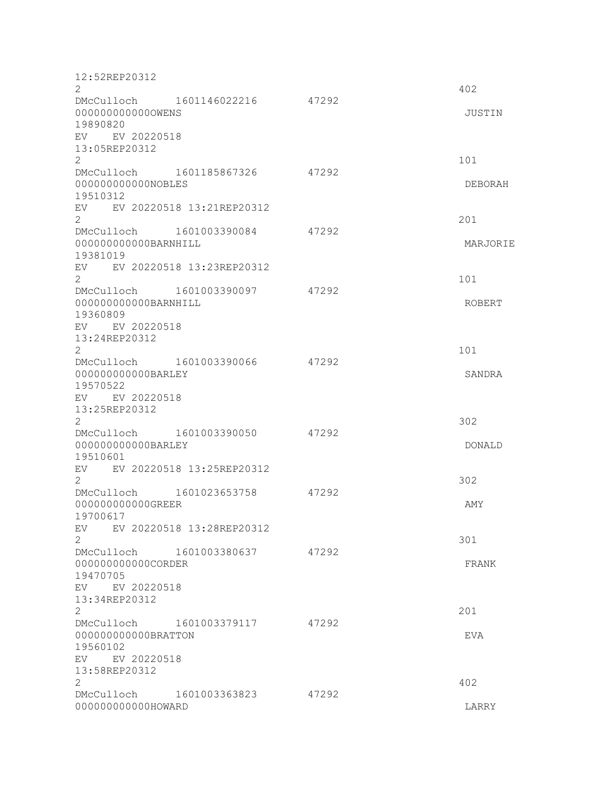| 12:52REP20312<br>2                             |                                |       | 402           |
|------------------------------------------------|--------------------------------|-------|---------------|
|                                                | DMcCulloch 1601146022216 47292 |       |               |
| 0000000000000WENS<br>19890820                  |                                |       | JUSTIN        |
| EV EV 20220518<br>13:05REP20312                |                                |       |               |
| $\overline{2}$                                 |                                |       | 101           |
| DMcCulloch 1601185867326                       |                                | 47292 |               |
| 000000000000NOBLES<br>19510312                 |                                |       | DEBORAH       |
|                                                | EV EV 20220518 13:21REP20312   |       |               |
| $\mathbf{2}^{\prime}$                          |                                |       | 201           |
| DMcCulloch 1601003390084                       |                                | 47292 |               |
| 000000000000BARNHILL<br>19381019               |                                |       | MARJORIE      |
| $\overline{2}$                                 | EV EV 20220518 13:23REP20312   |       | 101           |
| DMcCulloch 1601003390097                       |                                | 47292 |               |
| 000000000000BARNHILL<br>19360809               |                                |       | ROBERT        |
| EV EV 20220518<br>13:24REP20312                |                                |       |               |
| 2                                              |                                |       | 101           |
| DMcCulloch 1601003390066                       |                                | 47292 |               |
| 000000000000BARLEY<br>19570522                 |                                |       | SANDRA        |
| EV EV 20220518                                 |                                |       |               |
| 13:25REP20312                                  |                                |       |               |
| 2                                              |                                |       | 302           |
| DMcCulloch 1601003390050<br>000000000000BARLEY |                                | 47292 | <b>DONALD</b> |
| 19510601                                       |                                |       |               |
|                                                | EV EV 20220518 13:25REP20312   |       |               |
| 2<br>DMcCulloch 1601023653758                  |                                | 47292 | 302           |
| 000000000000GREER                              |                                |       | AMY           |
| 19700617                                       |                                |       |               |
| $\mathbf{2}$                                   | EV EV 20220518 13:28REP20312   |       | 301           |
| DMcCulloch 1601003380637                       |                                | 47292 |               |
| 000000000000CORDER                             |                                |       | FRANK         |
| 19470705                                       |                                |       |               |
| EV EV 20220518<br>13:34REP20312                |                                |       |               |
| 2                                              |                                |       | 201           |
| DMcCulloch 1601003379117                       |                                | 47292 |               |
| 00000000000BRATTON<br>19560102                 |                                |       | <b>F.VA</b>   |
| EV EV 20220518                                 |                                |       |               |
| 13:58REP20312                                  |                                |       |               |
| $\mathbf{2}^{\prime}$                          | DMcCulloch 1601003363823       | 47292 | 402           |
| 000000000000HOWARD                             |                                |       | LARRY         |